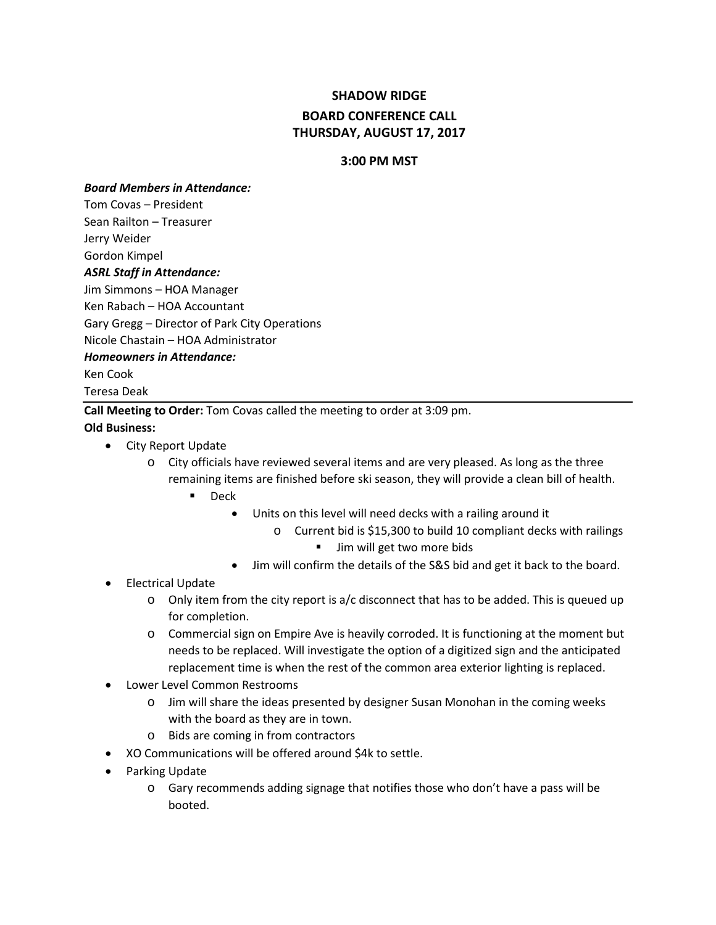# **SHADOW RIDGE BOARD CONFERENCE CALL THURSDAY, AUGUST 17, 2017**

#### **3:00 PM MST**

#### *Board Members in Attendance:*

Tom Covas – President

Sean Railton – Treasurer

Jerry Weider

Gordon Kimpel

#### *ASRL Staff in Attendance:*

Jim Simmons – HOA Manager

Ken Rabach – HOA Accountant

Gary Gregg – Director of Park City Operations

Nicole Chastain – HOA Administrator

#### *Homeowners in Attendance:*

Ken Cook

Teresa Deak

**Call Meeting to Order:** Tom Covas called the meeting to order at 3:09 pm.

#### **Old Business:**

- City Report Update
	- o City officials have reviewed several items and are very pleased. As long as the three remaining items are finished before ski season, they will provide a clean bill of health.
		- **Deck** 
			- Units on this level will need decks with a railing around it
				- o Current bid is \$15,300 to build 10 compliant decks with railings
					- **Jim will get two more bids**
			- Jim will confirm the details of the S&S bid and get it back to the board.

### • Electrical Update

- $\circ$  Only item from the city report is a/c disconnect that has to be added. This is queued up for completion.
- o Commercial sign on Empire Ave is heavily corroded. It is functioning at the moment but needs to be replaced. Will investigate the option of a digitized sign and the anticipated replacement time is when the rest of the common area exterior lighting is replaced.
- Lower Level Common Restrooms
	- o Jim will share the ideas presented by designer Susan Monohan in the coming weeks with the board as they are in town.
	- o Bids are coming in from contractors
- XO Communications will be offered around \$4k to settle.
- Parking Update
	- $\circ$  Gary recommends adding signage that notifies those who don't have a pass will be booted.